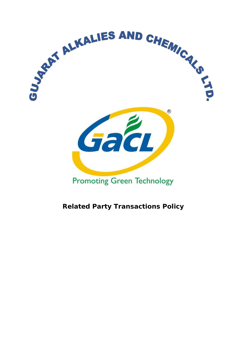

# **Related Party Transactions Policy**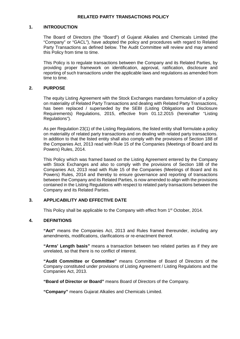# **1. INTRODUCTION**

The Board of Directors (the "Board") of Gujarat Alkalies and Chemicals Limited (the "Company" or "GACL"), have adopted the policy and procedures with regard to Related Party Transactions as defined below. The Audit Committee will review and may amend this Policy from time to time.

This Policy is to regulate transactions between the Company and its Related Parties, by providing proper framework on identification, approval, ratification, disclosure and reporting of such transactions under the applicable laws and regulations as amended from time to time.

## **2. PURPOSE**

The equity Listing Agreement with the Stock Exchanges mandates formulation of a policy on materiality of Related Party Transactions and dealing with Related Party Transactions, has been replaced / superseded by the SEBI (Listing Obligations and Disclosure Requirements) Regulations, 2015, effective from 01.12.2015 (hereinafter "Listing Regulations").

As per Regulation 23(1) of the Listing Regulations, the listed entity shall formulate a policy on materiality of related party transactions and on dealing with related party transactions. In addition to that the listed entity shall also comply with the provisions of Section 188 of the Companies Act, 2013 read with Rule 15 of the Companies (Meetings of Board and its Powers) Rules, 2014.

This Policy which was framed based on the Listing Agreement entered by the Company with Stock Exchanges and also to comply with the provisions of Section 188 of the Companies Act, 2013 read with Rule 15 of the Companies (Meetings of Board and its Powers) Rules, 2014 and thereby to ensure governance and reporting of transactions between the Company and its Related Parties, is now amended to align with the provisions contained in the Listing Regulations with respect to related party transactions between the Company and its Related Parties.

# **3. APPLICABILITY AND EFFECTIVE DATE**

This Policy shall be applicable to the Company with effect from 1<sup>st</sup> October, 2014.

# **4. DEFINITIONS**

**"Act"** means the Companies Act, 2013 and Rules framed thereunder, including any amendments, modifications, clarifications or re-enactment thereof.

**"Arms' Length basis"** means a transaction between two related parties as if they are unrelated, so that there is no conflict of interest.

**"Audit Committee or Committee"** means Committee of Board of Directors of the Company constituted under provisions of Listing Agreement / Listing Regulations and the Companies Act, 2013.

**"Board of Director or Board"** means Board of Directors of the Company.

**"Company"** means Gujarat Alkalies and Chemicals Limited.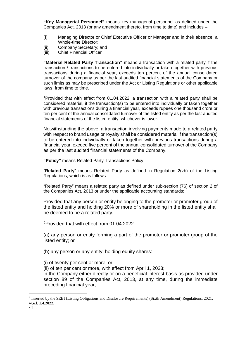**"Key Managerial Personnel"** means key managerial personnel as defined under the Companies Act, 2013 (or any amendment thereto, from time to time) and includes –

- (i) Managing Director or Chief Executive Officer or Manager and in their absence, a Whole-time Director;
- (ii) Company Secretary; and<br>(iii) Chief Financial Officer
- **Chief Financial Officer**

**"Material Related Party Transaction"** means a transaction with a related party if the transaction / transactions to be entered into individually or taken together with previous transactions during a financial year, exceeds ten percent of the annual consolidated turnover of the company as per the last audited financial statements of the Company or such limits as may be prescribed under the Act or Listing Regulations or other applicable laws, from time to time.

[1](#page-2-0) Provided that with effect from 01.04.2022, a transaction with a related party shall be considered material, if the transaction(s) to be entered into individually or taken together with previous transactions during a financial year, exceeds rupees one thousand crore or ten per cent of the annual consolidated turnover of the listed entity as per the last audited financial statements of the listed entity, whichever is lower.

Notwithstanding the above, a transaction involving payments made to a related party with respect to brand usage or royalty shall be considered material if the transaction(s) to be entered into individually or taken together with previous transactions during a financial year, exceed five percent of the annual consolidated turnover of the Company as per the last audited financial statements of the Company.

**"Policy"** means Related Party Transactions Policy.

"**Related Party**" means Related Party as defined in Regulation 2(zb) of the Listing Regulations, which is as follows:

"Related Party" means a related party as defined under sub-section (76) of section 2 of the Companies Act, 2013 or under the applicable accounting standards:

Provided that any person or entity belonging to the promoter or promoter group of the listed entity and holding 20% or more of shareholding in the listed entity shall be deemed to be a related party.

[2P](#page-2-1)rovided that with effect from 01.04.2022:

(a) any person or entity forming a part of the promoter or promoter group of the listed entity; or

(b) any person or any entity, holding equity shares:

(i) of twenty per cent or more; or

(ii) of ten per cent or more, with effect from April 1, 2023;

in the Company either directly or on a beneficial interest basis as provided under section 89 of the Companies Act, 2013, at any time, during the immediate preceding financial year;

<span id="page-2-1"></span><span id="page-2-0"></span> <sup>1</sup> Inserted by the SEBI (Listing Obligations and Disclosure Requirements) (Sixth Amendment) Regulations, 2021, **w.e.f. 1.4.2022.**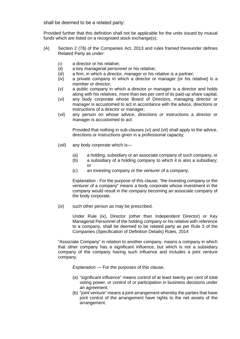shall be deemed to be a related party:

Provided further that this definition shall not be applicable for the units issued by mutual funds which are listed on a recognised stock exchange(s);

- (A) Section 2 (76) of the Companies Act, 2013 and rules framed thereunder defines Related Party as under:
	- *(i)* a director or his relative;
	- (*ii*) a key managerial personnel or his relative;
	- (*iii*) a firm, in which a director, manager or his relative is a partner;<br>(*iv*) a private company in which a director or manager [or his re
	- a private company in which a director or manager [or his relative] is a member or director;
	- (*v*) a public company in which a director or manager is a director and holds along with his relatives, more than two per cent of its paid-up share capital;
	- (*vi*) any body corporate whose Board of Directors, managing director or manager is accustomed to act in accordance with the advice, directions or instructions of a director or manager;
	- (*vii*) any person on whose advice, directions or instructions a director or manager is accustomed to act:

Provided that nothing in sub-clauses (*vi*) and (*vii*) shall apply to the advice, directions or instructions given in a professional capacity;

- (*viii*) any body corporate which is—
	- (a) a holding, subsidiary or an associate company of such company; or
	- (b) a subsidiary of a holding company to which it is also a subsidiary; or
	- (c) an investing company or the venturer of a company;

Explanation - For the purpose of this clause, "the investing company or the venturer of a company" means a body corporate whose investment in the company would result in the company becoming an associate company of the body corporate.

(*ix*) such other person as may be prescribed.

Under Rule (ix), Director (other than Independent Director) or Key Managerial Personnel of the holding company or his relative with reference to a company, shall be deemed to be related party as per Rule 3 of the Companies (Specification of Definition Details) Rules, 2014

"Associate Company" in relation to another company, means a company in which that other company has a significant influence, but which is not a subsidiary company of the company having such influence and includes a joint venture company.

*Explanation* — For the purposes of this clause,

- (a) "significant influence" means control of at least twenty per cent of total voting power, or control of or participation in business decisions under an agreement;
- (b) "joint venture" means a joint arrangement whereby the parties that have joint control of the arrangement have rights to the net assets of the arrangement.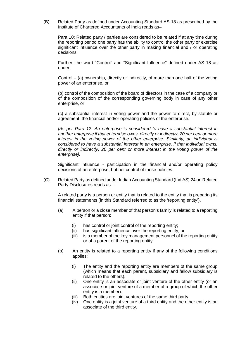(B) Related Party as defined under Accounting Standard AS-18 as prescribed by the Institute of Chartered Accountants of India reads as–

Para 10: Related party / parties are considered to be related if at any time during the reporting period one party has the ability to control the other party or exercise significant influence over the other party in making financial and / or operating decisions.

Further, the word "Control" and "Significant Influence" defined under AS 18 as under:

Control – (a) ownership, directly or indirectly, of more than one half of the voting power of an enterprise, or

(b) control of the composition of the board of directors in the case of a company or of the composition of the corresponding governing body in case of any other enterprise, or

(c) a substantial interest in voting power and the power to direct, by statute or agreement, the financial and/or operating policies of the enterprise.

*[As per Para 12: An enterprise is considered to have a substantial interest in another enterprise if that enterprise owns, directly or indirectly, 20 per cent or more interest in the voting power of the other enterprise. Similarly, an individual is considered to have a substantial interest in an enterprise, if that individual owns, directly or indirectly, 20 per cent or more interest in the voting power of the enterprise].*

Significant influence - participation in the financial and/or operating policy decisions of an enterprise, but not control of those policies.

(C) Related Party as defined under Indian Accounting Standard (Ind AS) 24 on Related Party Disclosures reads as –

A related party is a person or entity that is related to the entity that is preparing its financial statements (in this Standard referred to as the 'reporting entity').

- (a) A person or a close member of that person's family is related to a reporting entity if that person:
	- (i) has control or joint control of the reporting entity;
	- (ii) has significant influence over the reporting entity; or
	- (iii) is a member of the key management personnel of the reporting entity or of a parent of the reporting entity.
- (b) An entity is related to a reporting entity if any of the following conditions applies:
	- (i) The entity and the reporting entity are members of the same group (which means that each parent, subsidiary and fellow subsidiary is related to the others).
	- (ii) One entity is an associate or joint venture of the other entity (or an associate or joint venture of a member of a group of which the other entity is a member).
	- (iii) Both entities are joint ventures of the same third party.
	- (iv) One entity is a joint venture of a third entity and the other entity is an associate of the third entity.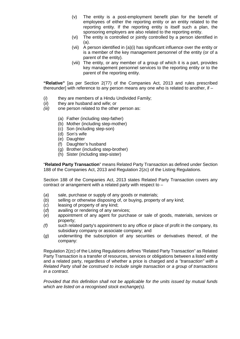- (v) The entity is a post-employment benefit plan for the benefit of employees of either the reporting entity or an entity related to the reporting entity. If the reporting entity is itself such a plan, the sponsoring employers are also related to the reporting entity.
- (vi) The entity is controlled or jointly controlled by a person identified in (a).
- (vii) A person identified in (a)(i) has significant influence over the entity or is a member of the key management personnel of the entity (or of a parent of the entity).
- (viii) The entity, or any member of a group of which it is a part, provides key management personnel services to the reporting entity or to the parent of the reporting entity.

**"Relative"** [as per Section 2(77) of the Companies Act, 2013 and rules prescribed thereunder] with reference to any person means any one who is related to another, if –

- (*i*) they are members of a Hindu Undivided Family;<br>(*ii*) they are husband and wife; or
- (*ii*) they are husband and wife; or<br>(*iii*) one person related to the other
- one person related to the other person as:
	- (a) Father (including step-father)
	- (b) Mother (including step-mother)
	- (c) Son (including step-son)
	- (d) Son's wife
	- (e) Daughter
	- (f) Daughter's husband
	- (g) Brother (including step-brother)
	- (h) Sister (including step-sister)

"**Related Party Transaction**" means Related Party Transaction as defined under Section 188 of the Companies Act, 2013 and Regulation 2(zc) of the Listing Regulations.

Section 188 of the Companies Act, 2013 states Related Party Transaction covers any contract or arrangement with a related party with respect to –

- (*a*) sale, purchase or supply of any goods or materials;<br>(*b*) selling or otherwise disposing of, or buying, property
- (b) selling or otherwise disposing of, or buying, property of any kind;<br>(c) leasing of property of any kind;
- leasing of property of any kind;
- (*d*) availing or rendering of any services;
- (*e*) appointment of any agent for purchase or sale of goods, materials, services or property;
- *(f)* such related party's appointment to any office or place of profit in the company, its subsidiary company or associate company; and
- (*g*) underwriting the subscription of any securities or derivatives thereof, of the company:

Regulation 2(zc) of the Listing Regulations defines "Related Party Transaction" as Related Party Transaction is a transfer of resources, services or obligations between a listed entity and a related party, regardless of whether a price is charged and *a "transaction" with a Related Party shall be construed to include single transaction or a group of transactions in a contract.* 

*Provided that this definition shall not be applicable for the units issued by mutual funds which are listed on a recognised stock exchange(s).*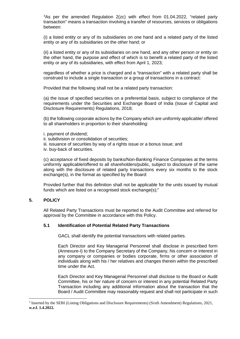<sup>[3](#page-6-0)</sup>As per the amended Regulation 2(zc) with effect from 01.04.2022, "related party transaction" means a transaction involving a transfer of resources, services or obligations between:

(i) a listed entity or any of its subsidiaries on one hand and a related party of the listed entity or any of its subsidiaries on the other hand; or

(ii) a listed entity or any of its subsidiaries on one hand, and any other person or entity on the other hand, the purpose and effect of which is to benefit a related party of the listed entity or any of its subsidiaries, with effect from April 1, 2023;

regardless of whether a price is charged and a "transaction" with a related party shall be construed to include a single transaction or a group of transactions in a contract:

Provided that the following shall not be a related party transaction:

(a) the issue of specified securities on a preferential basis, subject to compliance of the requirements under the Securities and Exchange Board of India (Issue of Capital and Disclosure Requirements) Regulations, 2018;

(b) the following corporate actions by the Company which are uniformly applicable/ offered to all shareholders in proportion to their shareholding:

- i. payment of dividend;
- ii. subdivision or consolidation of securities;
- iii. issuance of securities by way of a rights issue or a bonus issue; and
- iv. buy-back of securities.

(c) acceptance of fixed deposits by banks/Non-Banking Finance Companies at the terms uniformly applicable/offered to all shareholders/public, subject to disclosure of the same along with the disclosure of related party transactions every six months to the stock exchange(s), in the format as specified by the Board:

Provided further that this definition shall not be applicable for the units issued by mutual funds which are listed on a recognised stock exchange(s);"

# **5. POLICY**

All Related Party Transactions must be reported to the Audit Committee and referred for approval by the Committee in accordance with this Policy.

# **5.1 Identification of Potential Related Party Transactions**

GACL shall identify the potential transactions with related parties.

Each Director and Key Managerial Personnel shall disclose in prescribed form (Annexure-I) to the Company Secretary of the Company, his concern or interest in any company or companies or bodies corporate, firms or other association of individuals along with his / her relatives and changes therein within the prescribed time under the Act.

Each Director and Key Managerial Personnel shall disclose to the Board or Audit Committee, his or her nature of concern or interest in any potential Related Party Transaction including any additional information about the transaction that the Board / Audit Committee may reasonably request and shall not participate in such

<span id="page-6-0"></span> <sup>3</sup> Inserted by the SEBI (Listing Obligations and Disclosure Requirements) (Sixth Amendment) Regulations, 2021, **w.e.f. 1.4.2022.**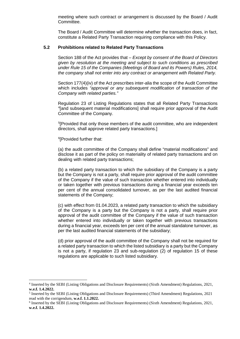meeting where such contract or arrangement is discussed by the Board / Audit Committee.

The Board / Audit Committee will determine whether the transaction does, in fact, constitute a Related Party Transaction requiring compliance with this Policy.

#### **5.2 Prohibitions related to Related Party Transactions**

Section 188 of the Act provides that – *Except by consent of the Board of Directors given by resolution at the meeting and subject to such conditions as prescribed under Rule 15 of the Companies (Meetings of Board and its Powers) Rules, 2014, the company shall not enter into any contract or arrangement with Related Party.*

Section 177(4)(iv) of the Act prescribes inter-alia the scope of the Audit Committee which includes *"approval or any subsequent modification of transaction of the Company with related parties."*

Regulation 23 of Listing Regulations states that all Related Party Transactions [4](#page-7-0) [and subsequent material modifications] shall require prior approval of the Audit Committee of the Company.

[5](#page-7-1) [Provided that only those members of the audit committee, who are independent directors, shall approve related party transactions.]

[6](#page-7-2) [Provided further that:

(a) the audit committee of the Company shall define "material modifications" and disclose it as part of the policy on materiality of related party transactions and on dealing with related party transactions;

(b) a related party transaction to which the subsidiary of the Company is a party but the Company is not a party, shall require prior approval of the audit committee of the Company if the value of such transaction whether entered into individually or taken together with previous transactions during a financial year exceeds ten per cent of the annual consolidated turnover, as per the last audited financial statements of the Company;

(c) with effect from 01.04.2023, a related party transaction to which the subsidiary of the Company is a party but the Company is not a party, shall require prior approval of the audit committee of the Company if the value of such transaction whether entered into individually or taken together with previous transactions during a financial year, exceeds ten per cent of the annual standalone turnover, as per the last audited financial statements of the subsidiary;

(d) prior approval of the audit committee of the Company shall not be required for a related party transaction to which the listed subsidiary is a party but the Company is not a party, if regulation 23 and sub-regulation (2) of regulation 15 of these regulations are applicable to such listed subsidiary.

<span id="page-7-0"></span> <sup>4</sup> Inserted by the SEBI (Listing Obligations and Disclosure Requirements) (Sixth Amendment) Regulations, 2021, **w.e.f. 1.4.2022.**

<span id="page-7-1"></span><sup>5</sup> Inserted by the SEBI (Listing Obligations and Disclosure Requirements) (Third Amendment) Regulations, 2021 read with the corrigendum, **w.e.f. 1.1.2022.** 

<span id="page-7-2"></span><sup>6</sup> Inserted by the SEBI (Listing Obligations and Disclosure Requirements) (Sixth Amendment) Regulations, 2021, **w.e.f. 1.4.2022.**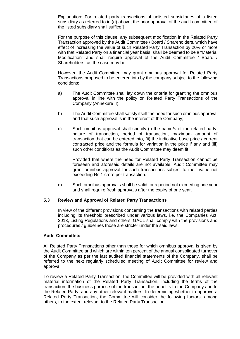Explanation: For related party transactions of unlisted subsidiaries of a listed subsidiary as referred to in (d) above, the prior approval of the audit committee of the listed subsidiary shall suffice.]

For the purpose of this clause, any subsequent modification in the Related Party Transaction approved by the Audit Committee / Board / Shareholders, which have effect of increasing the value of such Related Party Transaction by 20% or more with that Related Party on a financial year basis, shall be deemed to be a "Material Modification" and shall require approval of the Audit Committee / Board / Shareholders, as the case may be.

However, the Audit Committee may grant omnibus approval for Related Party Transactions proposed to be entered into by the company subject to the following conditions:

- a) The Audit Committee shall lay down the criteria for granting the omnibus approval in line with the policy on Related Party Transactions of the Company (Annexure II);
- b) The Audit Committee shall satisfy itself the need for such omnibus approval and that such approval is in the interest of the Company;
- c) Such omnibus approval shall specify (i) the name/s of the related party, nature of transaction, period of transaction, maximum amount of transaction that can be entered into, (ii) the indicative base price / current contracted price and the formula for variation in the price if any and (iii) such other conditions as the Audit Committee may deem fit;

Provided that where the need for Related Party Transaction cannot be foreseen and aforesaid details are not available, Audit Committee may grant omnibus approval for such transactions subject to their value not exceeding Rs.1 crore per transaction.

d) Such omnibus approvals shall be valid for a period not exceeding one year and shall require fresh approvals after the expiry of one year.

# **5.3 Review and Approval of Related Party Transactions**

In view of the different provisions concerning the transactions with related parties including its threshold prescribed under various laws, i.e. the Companies Act, 2013, Listing Regulations and others, GACL shall comply with the provisions and procedures / guidelines those are stricter under the said laws.

#### **Audit Committee:**

All Related Party Transactions other than those for which omnibus approval is given by the Audit Committee and which are within ten percent of the annual consolidated turnover of the Company as per the last audited financial statements of the Company, shall be referred to the next regularly scheduled meeting of Audit Committee for review and approval.

To review a Related Party Transaction, the Committee will be provided with all relevant material information of the Related Party Transaction, including the terms of the transaction, the business purpose of the transaction, the benefits to the Company and to the Related Party, and any other relevant matters. In determining whether to approve a Related Party Transaction, the Committee will consider the following factors, among others, to the extent relevant to the Related Party Transaction: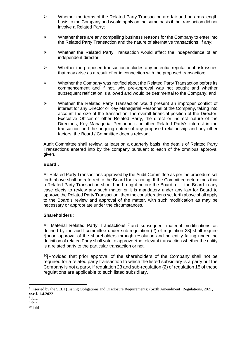- $\triangleright$  Whether the terms of the Related Party Transaction are fair and on arms length basis to the Company and would apply on the same basis if the transaction did not involve a Related Party;
- $\triangleright$  Whether there are any compelling business reasons for the Company to enter into the Related Party Transaction and the nature of alternative transactions, if any;
- $\triangleright$  Whether the Related Party Transaction would affect the independence of an independent director;
- $\triangleright$  Whether the proposed transaction includes any potential reputational risk issues that may arise as a result of or in connection with the proposed transaction;
- $\triangleright$  Whether the Company was notified about the Related Party Transaction before its commencement and if not, why pre-approval was not sought and whether subsequent ratification is allowed and would be detrimental to the Company; and
- Whether the Related Party Transaction would present an improper conflict of interest for any Director or Key Managerial Personnel of the Company, taking into account the size of the transaction, the overall financial position of the Director, Executive Officer or other Related Party, the direct or indirect nature of the Director's, Key Managerial Personnel's or other Related Party's interest in the transaction and the ongoing nature of any proposed relationship and any other factors, the Board / Committee deems relevant.

Audit Committee shall review, at least on a quarterly basis, the details of Related Party Transactions entered into by the company pursuant to each of the omnibus approval given.

## **Board :**

All Related Party Transactions approved by the Audit Committee as per the procedure set forth above shall be referred to the Board for its noting. If the Committee determines that a Related Party Transaction should be brought before the Board, or if the Board in any case elects to review any such matter or it is mandatory under any law for Board to approve the Related Party Transaction, then the considerations set forth above shall apply to the Board's review and approval of the matter, with such modification as may be necessary or appropriate under the circumstances.

#### **Shareholders :**

All Material Related Party Transactions <sup>[7](#page-9-0)</sup> [and subsequent material modifications as defined by the audit committee under sub-regulation (2) of regulation 23] shall require <sup>[8](#page-9-1)</sup>[prior] approval of the shareholders through resolution and no entity falling under the definition of related Party shall vote to approve <sup>[9](#page-9-2)</sup>the relevant transaction whether the entity is a related party to the particular transaction or not.

[10\[](#page-9-3)Provided that prior approval of the shareholders of the Company shall not be required for a related party transaction to which the listed subsidiary is a party but the Company is not a party, if regulation 23 and sub-regulation (2) of regulation 15 of these regulations are applicable to such listed subsidiary.

<span id="page-9-0"></span> <sup>7</sup> Inserted by the SEBI (Listing Obligations and Disclosure Requirements) (Sixth Amendment) Regulations, 2021, **w.e.f. 1.4.2022** 

<sup>8</sup> ibid

<span id="page-9-2"></span><span id="page-9-1"></span> $9$  ibid

<span id="page-9-3"></span> $10$  ibid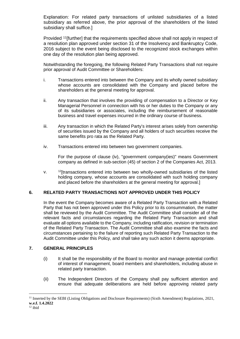Explanation: For related party transactions of unlisted subsidiaries of a listed subsidiary as referred above, the prior approval of the shareholders of the listed subsidiary shall suffice.]

Provided [11](#page-10-0)[further] that the requirements specified above shall not apply in respect of a resolution plan approved under section 31 of the Insolvency and Bankruptcy Code, 2016 subject to the event being disclosed to the recognized stock exchanges within one day of the resolution plan being approved.

Notwithstanding the foregoing, the following Related Party Transactions shall not require prior approval of Audit Committee or Shareholders:

- i. Transactions entered into between the Company and its wholly owned subsidiary whose accounts are consolidated with the Company and placed before the shareholders at the general meeting for approval.
- ii. Any transaction that involves the providing of compensation to a Director or Key Managerial Personnel in connection with his or her duties to the Company or any of its subsidiaries or associates, including the reimbursement of reasonable business and travel expenses incurred in the ordinary course of business.
- iii. Any transaction in which the Related Party's interest arises solely from ownership of securities issued by the Company and all holders of such securities receive the same benefits pro rata as the Related Party.
- iv. Transactions entered into between two government companies.

For the purpose of clause (iv), "government company(ies)" means Government company as defined in sub-section (45) of section 2 of the Companies Act, 2013.

v. <sup>[12](#page-10-1)</sup>[transactions entered into between two wholly-owned subsidiaries of the listed holding company, whose accounts are consolidated with such holding company and placed before the shareholders at the general meeting for approval.]

# **6. RELATED PARTY TRANSACTIONS NOT APPROVED UNDER THIS POLICY**

In the event the Company becomes aware of a Related Party Transaction with a Related Party that has not been approved under this Policy prior to its consummation, the matter shall be reviewed by the Audit Committee. The Audit Committee shall consider all of the relevant facts and circumstances regarding the Related Party Transaction and shall evaluate all options available to the Company, including ratification, revision or termination of the Related Party Transaction. The Audit Committee shall also examine the facts and circumstances pertaining to the failure of reporting such Related Party Transaction to the Audit Committee under this Policy, and shall take any such action it deems appropriate.

# **7. GENERAL PRINCIPLES**

- (i) It shall be the responsibility of the Board to monitor and manage potential conflict of interest of management, board members and shareholders, including abuse in related party transaction.
- (ii) The Independent Directors of the Company shall pay sufficient attention and ensure that adequate deliberations are held before approving related party

<span id="page-10-0"></span><sup>&</sup>lt;sup>11</sup> Inserted by the SEBI (Listing Obligations and Disclosure Requirements) (Sixth Amendment) Regulations, 2021, **w.e.f. 1.4.2022** 

<span id="page-10-1"></span> $12$  ibid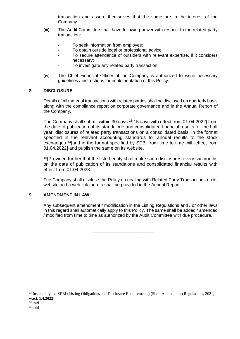transaction and assure themselves that the same are in the interest of the Company.

- (iii) The Audit Committee shall have following power with respect to the related party transaction:
	- To seek information from employee;
	- To obtain outside legal or professional advice;
	- To secure attendance of outsiders with relevant expertise, if it considers necessary;
	- To investigate any related party transaction.
- (iv) The Chief Financial Officer of the Company is authorized to issue necessary guidelines / instructions for implementation of this Policy.

# **8. DISCLOSURE**

Details of all material transactions with related parties shall be disclosed on quarterly basis along with the compliance report on corporate governance and in the Annual Report of the Company.

The Company shall submit within 30 days [13](#page-11-0)[15 days with effect from 01.04.2022] from the date of publication of its standalone and consolidated financial results for the half year, disclosures of related party transactions on a consolidated basis, in the format specified in the relevant accounting standards for annual results to the stock exchanges [14\[](#page-11-1)and in the format specified by SEBI from time to time with effect from 01.04.2022] and publish the same on its website.

<sup>15</sup>[Provided further that the listed entity shall make such disclosures every six months on the date of publication of its standalone and consolidated financial results with effect from 01.04.2023.]

The Company shall disclose the Policy on dealing with Related Party Transactions on its website and a web link thereto shall be provided in the Annual Report.

# **9. AMENDMENT IN LAW**

Any subsequent amendment / modification in the Listing Regulations and / or other laws in this regard shall automatically apply to this Policy. The same shall be added / amended / modified from time to time as authorized by the Audit Committee with due procedure.

\_\_\_\_\_\_\_\_\_\_\_\_\_\_\_\_\_\_\_\_\_\_\_\_\_

<span id="page-11-0"></span><sup>&</sup>lt;sup>13</sup> Inserted by the SEBI (Listing Obligations and Disclosure Requirements) (Sixth Amendment) Regulations, 2021, **w.e.f. 1.4.2022** 

<span id="page-11-1"></span> $14$  ibid

<span id="page-11-2"></span> $15$  ibid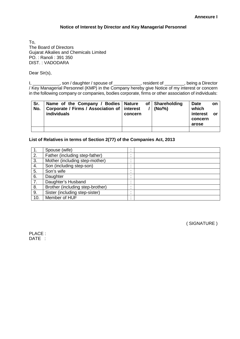# **Notice of Interest by Director and Key Managerial Personnel**

To, The Board of Directors Gujarat Alkalies and Chemicals Limited PO. : Ranoli : 391 350 DIST. : VADODARA

Dear Sir(s),

I, \_\_\_\_\_\_\_\_\_\_\_\_, son / daughter / spouse of \_\_\_\_\_\_\_\_\_\_\_\_, resident of \_\_\_\_\_\_\_\_\_, being a Director / Key Managerial Personnel (KMP) in the Company hereby give Notice of my interest or concern in the following company or companies, bodies corporate, firms or other association of individuals:

| Sr.<br>No. | Name of the Company / Bodies   Nature<br>Corporate / Firms / Association of   interest<br>individuals | concern | of Shareholding<br>$(No/\%)$ | <b>Date</b><br>which<br>interest<br>concern<br>arose | on<br>or - |
|------------|-------------------------------------------------------------------------------------------------------|---------|------------------------------|------------------------------------------------------|------------|
|            |                                                                                                       |         |                              |                                                      |            |

# **List of Relatives in terms of Section 2(77) of the Companies Act, 2013**

|     | Spouse (wife)                    |  |
|-----|----------------------------------|--|
| 2.  | Father (including step-father)   |  |
| 3.  | Mother (including step-mother)   |  |
| 4.  | Son (including step-son)         |  |
| 5.  | Son's wife                       |  |
| 6.  | Daughter                         |  |
| 7.  | Daughter's Husband               |  |
| 8.  | Brother (including step-brother) |  |
| 9.  | Sister (including step-sister)   |  |
| 10. | Member of HUF                    |  |

( SIGNATURE )

PLACE : DATE :